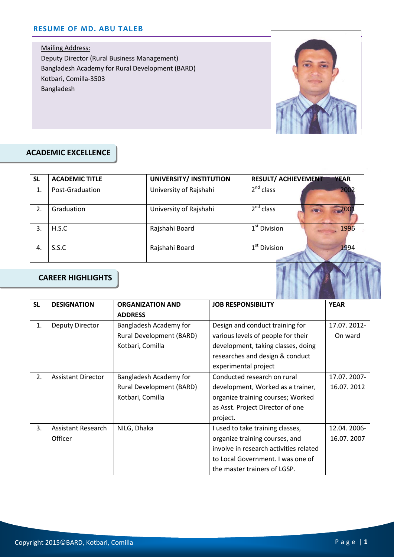Mailing Address: Deputy Director (Rural Business Management) Bangladesh Academy for Rural Development (BARD) Kotbari, Comilla-3503 Bangladesh



#### **ACADEMIC EXCELLENCE** Email:

| <b>SL</b> | <b>ACADEMIC TITLE</b> | UNIVERSITY/ INSTITUTION | <b>RESULT/ ACHIEVEMENT</b><br><b>YEAR</b> |
|-----------|-----------------------|-------------------------|-------------------------------------------|
| 1.        | Post-Graduation       | University of Rajshahi  | $2^{nd}$ class<br>2002                    |
| 2.        | Graduation            | University of Rajshahi  | $2nd$ class<br>200                        |
| 3.        | H.S.C                 | Rajshahi Board          | $1st$ Division<br>1996                    |
| 4.        | S.S.C                 | Rajshahi Board          | $1st$ Division<br>1994                    |

#### **CAREER HIGHLIGHTS**

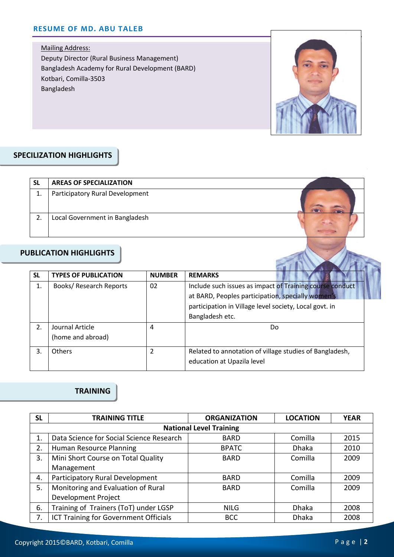Mailing Address: Deputy Director (Rural Business Management) Bangladesh Academy for Rural Development (BARD) Kotbari, Comilla-3503 Bangladesh



#### $\overline{z}$ SPECILIZATION HIGHLIGHTS

| SL | <b>AREAS OF SPECIALIZATION</b>  |  |
|----|---------------------------------|--|
| 1. | Participatory Rural Development |  |
|    | Local Government in Bangladesh  |  |

### **PUBLICATION HIGHLIGHTS**

| <b>SL</b> | <b>TYPES OF PUBLICATION</b>          | <b>NUMBER</b> | <b>REMARKS</b>                                                                                                                                                                             |  |
|-----------|--------------------------------------|---------------|--------------------------------------------------------------------------------------------------------------------------------------------------------------------------------------------|--|
| 1.        | Books/ Research Reports              | 02            | Include such issues as impact of Training course conduct<br>at BARD, Peoples participation, specially women's<br>participation in Village level society, Local govt. in<br>Bangladesh etc. |  |
| 2.        | Journal Article<br>(home and abroad) | 4             | Do                                                                                                                                                                                         |  |
| 3.        | <b>Others</b>                        | 2             | Related to annotation of village studies of Bangladesh,<br>education at Upazila level                                                                                                      |  |

## **TRAINING**

| <b>SL</b> | <b>TRAINING TITLE</b>                    | <b>ORGANIZATION</b> | <b>LOCATION</b> | <b>YEAR</b> |  |  |
|-----------|------------------------------------------|---------------------|-----------------|-------------|--|--|
|           | <b>National Level Training</b>           |                     |                 |             |  |  |
|           | Data Science for Social Science Research | <b>BARD</b>         | Comilla         | 2015        |  |  |
| 2.        | Human Resource Planning                  | <b>BPATC</b>        | <b>Dhaka</b>    | 2010        |  |  |
| 3.        | Mini Short Course on Total Quality       | <b>BARD</b>         | Comilla         | 2009        |  |  |
|           | Management                               |                     |                 |             |  |  |
| 4.        | Participatory Rural Development          | <b>BARD</b>         | Comilla         | 2009        |  |  |
| 5.        | Monitoring and Evaluation of Rural       | <b>BARD</b>         | Comilla         | 2009        |  |  |
|           | Development Project                      |                     |                 |             |  |  |
| 6.        | Training of Trainers (ToT) under LGSP    | <b>NILG</b>         | <b>Dhaka</b>    | 2008        |  |  |
| 7.        | ICT Training for Government Officials    | <b>BCC</b>          | <b>Dhaka</b>    | 2008        |  |  |